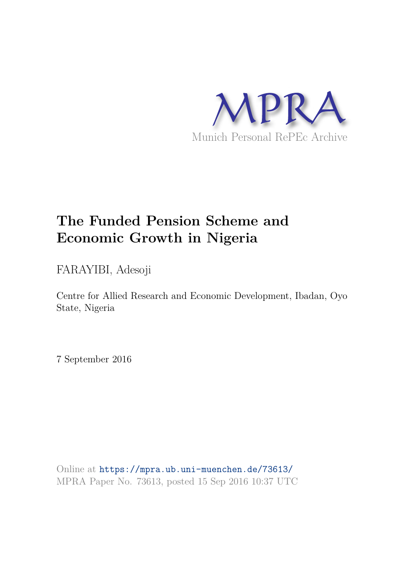

# **The Funded Pension Scheme and Economic Growth in Nigeria**

FARAYIBI, Adesoji

Centre for Allied Research and Economic Development, Ibadan, Oyo State, Nigeria

7 September 2016

Online at https://mpra.ub.uni-muenchen.de/73613/ MPRA Paper No. 73613, posted 15 Sep 2016 10:37 UTC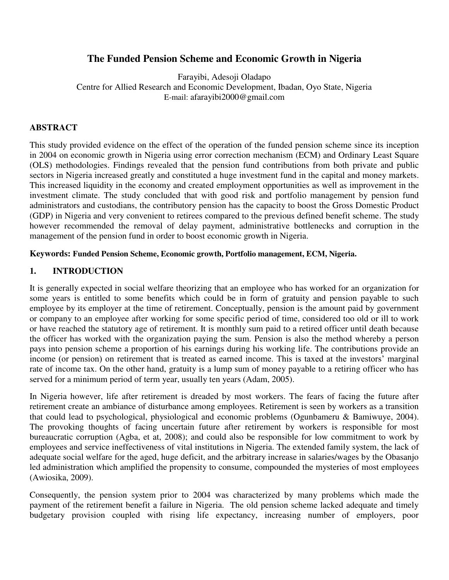# **The Funded Pension Scheme and Economic Growth in Nigeria**

Farayibi, Adesoji Oladapo Centre for Allied Research and Economic Development, Ibadan, Oyo State, Nigeria E-mail: [afarayibi2000@gmail.com](mailto:afarayibi2000@gmail.com) 

# **ABSTRACT**

This study provided evidence on the effect of the operation of the funded pension scheme since its inception in 2004 on economic growth in Nigeria using error correction mechanism (ECM) and Ordinary Least Square (OLS) methodologies. Findings revealed that the pension fund contributions from both private and public sectors in Nigeria increased greatly and constituted a huge investment fund in the capital and money markets. This increased liquidity in the economy and created employment opportunities as well as improvement in the investment climate. The study concluded that with good risk and portfolio management by pension fund administrators and custodians, the contributory pension has the capacity to boost the Gross Domestic Product (GDP) in Nigeria and very convenient to retirees compared to the previous defined benefit scheme. The study however recommended the removal of delay payment, administrative bottlenecks and corruption in the management of the pension fund in order to boost economic growth in Nigeria.

## **Keywords: Funded Pension Scheme, Economic growth, Portfolio management, ECM, Nigeria.**

## **1. INTRODUCTION**

It is generally expected in social welfare theorizing that an employee who has worked for an organization for some years is entitled to some benefits which could be in form of gratuity and pension payable to such employee by its employer at the time of retirement. Conceptually, pension is the amount paid by government or company to an employee after working for some specific period of time, considered too old or ill to work or have reached the statutory age of retirement. It is monthly sum paid to a retired officer until death because the officer has worked with the organization paying the sum. Pension is also the method whereby a person pays into pension scheme a proportion of his earnings during his working life. The contributions provide an income (or pension) on retirement that is treated as earned income. This is taxed at the investors' marginal rate of income tax. On the other hand, gratuity is a lump sum of money payable to a retiring officer who has served for a minimum period of term year, usually ten years (Adam, 2005).

In Nigeria however, life after retirement is dreaded by most workers. The fears of facing the future after retirement create an ambiance of disturbance among employees. Retirement is seen by workers as a transition that could lead to psychological, physiological and economic problems (Ogunbameru & Bamiwuye, 2004). The provoking thoughts of facing uncertain future after retirement by workers is responsible for most bureaucratic corruption (Agba, et at, 2008); and could also be responsible for low commitment to work by employees and service ineffectiveness of vital institutions in Nigeria. The extended family system, the lack of adequate social welfare for the aged, huge deficit, and the arbitrary increase in salaries/wages by the Obasanjo led administration which amplified the propensity to consume, compounded the mysteries of most employees (Awiosika, 2009).

Consequently, the pension system prior to 2004 was characterized by many problems which made the payment of the retirement benefit a failure in Nigeria. The old pension scheme lacked adequate and timely budgetary provision coupled with rising life expectancy, increasing number of employers, poor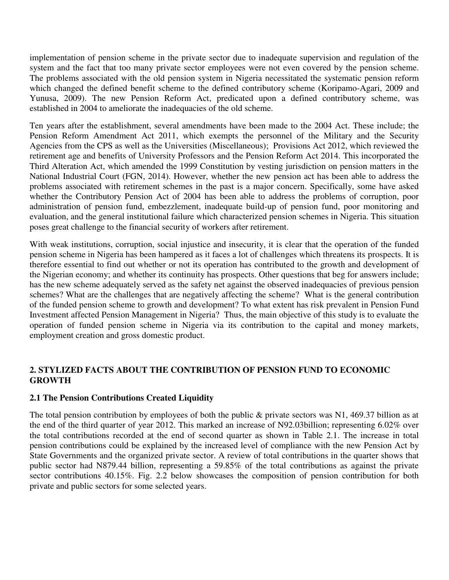implementation of pension scheme in the private sector due to inadequate supervision and regulation of the system and the fact that too many private sector employees were not even covered by the pension scheme. The problems associated with the old pension system in Nigeria necessitated the systematic pension reform which changed the defined benefit scheme to the defined contributory scheme (Koripamo-Agari, 2009 and Yunusa, 2009). The new Pension Reform Act, predicated upon a defined contributory scheme, was established in 2004 to ameliorate the inadequacies of the old scheme.

Ten years after the establishment, several amendments have been made to the 2004 Act. These include; the Pension Reform Amendment Act 2011, which exempts the personnel of the Military and the Security Agencies from the CPS as well as the Universities (Miscellaneous); Provisions Act 2012, which reviewed the retirement age and benefits of University Professors and the Pension Reform Act 2014. This incorporated the Third Alteration Act, which amended the 1999 Constitution by vesting jurisdiction on pension matters in the National Industrial Court (FGN, 2014). However, whether the new pension act has been able to address the problems associated with retirement schemes in the past is a major concern. Specifically, some have asked whether the Contributory Pension Act of 2004 has been able to address the problems of corruption, poor administration of pension fund, embezzlement, inadequate build-up of pension fund, poor monitoring and evaluation, and the general institutional failure which characterized pension schemes in Nigeria. This situation poses great challenge to the financial security of workers after retirement.

With weak institutions, corruption, social injustice and insecurity, it is clear that the operation of the funded pension scheme in Nigeria has been hampered as it faces a lot of challenges which threatens its prospects. It is therefore essential to find out whether or not its operation has contributed to the growth and development of the Nigerian economy; and whether its continuity has prospects. Other questions that beg for answers include; has the new scheme adequately served as the safety net against the observed inadequacies of previous pension schemes? What are the challenges that are negatively affecting the scheme? What is the general contribution of the funded pension scheme to growth and development? To what extent has risk prevalent in Pension Fund Investment affected Pension Management in Nigeria? Thus, the main objective of this study is to evaluate the operation of funded pension scheme in Nigeria via its contribution to the capital and money markets, employment creation and gross domestic product.

# **2. STYLIZED FACTS ABOUT THE CONTRIBUTION OF PENSION FUND TO ECONOMIC GROWTH**

# **2.1 The Pension Contributions Created Liquidity**

The total pension contribution by employees of both the public & private sectors was N1, 469.37 billion as at the end of the third quarter of year 2012. This marked an increase of N92.03billion; representing 6.02% over the total contributions recorded at the end of second quarter as shown in Table 2.1. The increase in total pension contributions could be explained by the increased level of compliance with the new Pension Act by State Governments and the organized private sector. A review of total contributions in the quarter shows that public sector had N879.44 billion, representing a 59.85% of the total contributions as against the private sector contributions 40.15%. Fig. 2.2 below showcases the composition of pension contribution for both private and public sectors for some selected years.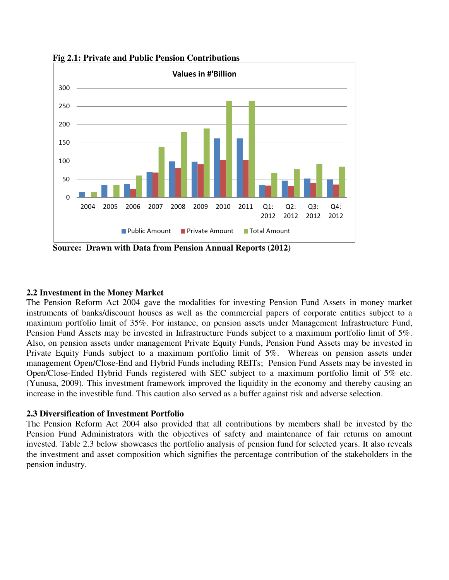

**Fig 2.1: Private and Public Pension Contributions** 

**Source: Drawn with Data from Pension Annual Reports (2012)** 

# **2.2 Investment in the Money Market**

The Pension Reform Act 2004 gave the modalities for investing Pension Fund Assets in money market instruments of banks/discount houses as well as the commercial papers of corporate entities subject to a maximum portfolio limit of 35%. For instance, on pension assets under Management Infrastructure Fund, Pension Fund Assets may be invested in Infrastructure Funds subject to a maximum portfolio limit of 5%. Also, on pension assets under management Private Equity Funds, Pension Fund Assets may be invested in Private Equity Funds subject to a maximum portfolio limit of 5%. Whereas on pension assets under management Open/Close-End and Hybrid Funds including REITs; Pension Fund Assets may be invested in Open/Close-Ended Hybrid Funds registered with SEC subject to a maximum portfolio limit of 5% etc. (Yunusa, 2009). This investment framework improved the liquidity in the economy and thereby causing an increase in the investible fund. This caution also served as a buffer against risk and adverse selection.

# **2.3 Diversification of Investment Portfolio**

The Pension Reform Act 2004 also provided that all contributions by members shall be invested by the Pension Fund Administrators with the objectives of safety and maintenance of fair returns on amount invested. Table 2.3 below showcases the portfolio analysis of pension fund for selected years. It also reveals the investment and asset composition which signifies the percentage contribution of the stakeholders in the pension industry.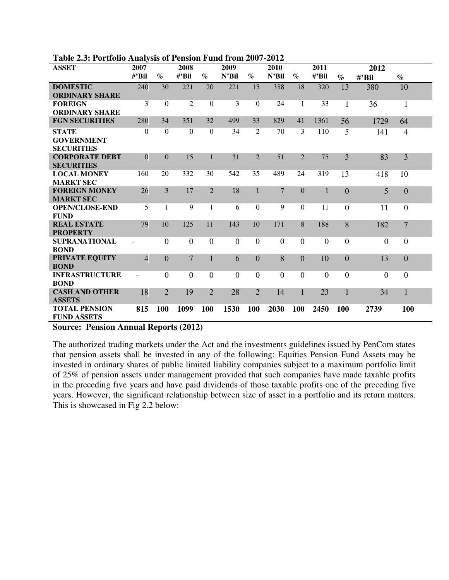| $\mathbf{u}$ . The control $\mathbf{u}$ and $\mathbf{v}$ is the control $\mathbf{u}$ and $\mathbf{u}$ and $\mathbf{v}$<br><b>ASSET</b> | 2007           |                             | 2008            |                             | 2009           |                             | 2010           |                | 2011           |                |                |                |  |
|----------------------------------------------------------------------------------------------------------------------------------------|----------------|-----------------------------|-----------------|-----------------------------|----------------|-----------------------------|----------------|----------------|----------------|----------------|----------------|----------------|--|
|                                                                                                                                        |                |                             |                 |                             |                |                             |                |                |                |                | 2012           |                |  |
|                                                                                                                                        | $\#$ 'Bil      | $\mathcal{O}_{\mathcal{O}}$ | $\#$ 'Bil       | $\mathcal{G}_{\mathcal{O}}$ | $N'$ Bil       | $\mathcal{G}_{\mathcal{O}}$ | $N'$ Bil       | $\%$           | $\#$ 'Bil      | $\%$           | $\#$ 'Bil      | $\%$           |  |
| <b>DOMESTIC</b>                                                                                                                        | 240            | 30                          | 221             | 20                          | 221            | 15                          | 358            | 18             | 320            | 13             | 380            | 10             |  |
| <b>ORDINARY SHARE</b>                                                                                                                  |                |                             |                 |                             |                |                             |                |                |                |                |                |                |  |
| <b>FOREIGN</b>                                                                                                                         | 3              | $\Omega$                    | 2               | $\Omega$                    | 3              | $\Omega$                    | 24             | 1              | 33             | $\mathbf{1}$   | 36             | 1              |  |
| <b>ORDINARY SHARE</b>                                                                                                                  |                |                             |                 |                             |                |                             |                |                |                |                |                |                |  |
| <b>FGN SECURITIES</b>                                                                                                                  | 280            | 34                          | 351             | 32                          | 499            | 33                          | 829            | 41             | 1361           | 56             | 1729           | 64             |  |
| <b>STATE</b>                                                                                                                           | $\theta$       | $\Omega$                    | $\Omega$        | $\theta$                    | 34             | 2                           | 70             | 3              | 110            | 5              | 141            | $\overline{4}$ |  |
| <b>GOVERNMENT</b>                                                                                                                      |                |                             |                 |                             |                |                             |                |                |                |                |                |                |  |
| <b>SECURITIES</b>                                                                                                                      |                |                             |                 |                             |                |                             |                |                |                |                |                |                |  |
| <b>CORPORATE DEBT</b>                                                                                                                  | $\theta$       | $\Omega$                    | 15              | 1                           | 31             | 2                           | 51             | $\overline{2}$ | 75             | 3              | 83             | 3              |  |
| <b>SECURITIES</b>                                                                                                                      |                |                             |                 |                             |                |                             |                |                |                |                |                |                |  |
| <b>LOCAL MONEY</b>                                                                                                                     | 160            | 20                          | 332             | 30                          | 542            | 35                          | 489            | 24             | 319            | 13             | 418            | 10             |  |
| <b>MARKT SEC</b>                                                                                                                       |                |                             |                 |                             |                |                             |                |                |                |                |                |                |  |
| <b>FOREIGN MONEY</b>                                                                                                                   | 26             | $\overline{3}$              | 17              | $\overline{2}$              | 18             | $\mathbf{1}$                | $\overline{7}$ | $\mathbf{0}$   | 1              | $\overline{0}$ | 5              | $\overline{0}$ |  |
| <b>MARKT SEC</b>                                                                                                                       |                |                             |                 |                             |                |                             |                |                |                |                |                |                |  |
| <b>OPEN/CLOSE-END</b>                                                                                                                  | 5              | 1                           | 9               | 1                           | 6              | $\Omega$                    | 9              | $\Omega$       | 11             | $\overline{0}$ | 11             | $\overline{0}$ |  |
| <b>FUND</b>                                                                                                                            |                |                             |                 |                             |                |                             |                |                |                |                |                |                |  |
| <b>REAL ESTATE</b>                                                                                                                     | 79             | 10                          | 125             | 11                          | 143            | 10                          | 171            | 8              | 188            | 8              | 182            | $\overline{7}$ |  |
| <b>PROPERTY</b>                                                                                                                        |                |                             |                 |                             |                |                             |                |                |                |                |                |                |  |
| <b>SUPRANATIONAL</b>                                                                                                                   | $\blacksquare$ | $\Omega$                    | $\Omega$        | $\Omega$                    | $\overline{0}$ | $\overline{0}$              | $\theta$       | $\Omega$       | $\overline{0}$ | $\overline{0}$ | $\overline{0}$ | $\overline{0}$ |  |
| <b>BOND</b>                                                                                                                            |                |                             |                 |                             |                |                             |                |                |                |                |                |                |  |
| <b>PRIVATE EQUITY</b>                                                                                                                  | $\overline{4}$ | $\Omega$                    | $7\phantom{.0}$ | $\mathbf{1}$                | 6              | $\overline{0}$              | 8              | $\theta$       | 10             | $\overline{0}$ | 13             | $\overline{0}$ |  |
| <b>BOND</b>                                                                                                                            |                |                             |                 |                             |                |                             |                |                |                |                |                |                |  |
| <b>INFRASTRUCTURE</b>                                                                                                                  | $\blacksquare$ | $\overline{0}$              | $\theta$        | $\theta$                    | $\theta$       | $\overline{0}$              | $\theta$       | $\theta$       | $\overline{0}$ | $\overline{0}$ | $\theta$       | $\overline{0}$ |  |
| <b>BOND</b>                                                                                                                            |                |                             |                 |                             |                |                             |                |                |                |                |                |                |  |
| <b>CASH AND OTHER</b>                                                                                                                  | 18             | $\overline{2}$              | 19              | $\overline{2}$              | 28             | $\overline{2}$              | 14             | $\mathbf{1}$   | 23             | $\mathbf{1}$   | 34             | $\mathbf{1}$   |  |
| <b>ASSETS</b>                                                                                                                          |                |                             |                 |                             |                |                             |                |                |                |                |                |                |  |
| <b>TOTAL PENSION</b>                                                                                                                   | 815            | 100                         | 1099            | 100                         | 1530           | 100                         | 2030           | 100            | 2450           | 100            | 2739           | 100            |  |
| <b>FUND ASSETS</b>                                                                                                                     |                |                             |                 |                             |                |                             |                |                |                |                |                |                |  |

**Source: Pension Annual Reports (2012)** 

The authorized trading markets under the Act and the investments guidelines issued by PenCom states that pension assets shall be invested in any of the following: Equities Pension Fund Assets may be invested in ordinary shares of public limited liability companies subject to a maximum portfolio limit of 25% of pension assets under management provided that such companies have made taxable profits in the preceding five years and have paid dividends of those taxable profits one of the preceding five years. However, the significant relationship between size of asset in a portfolio and its return matters. This is showcased in Fig 2.2 below: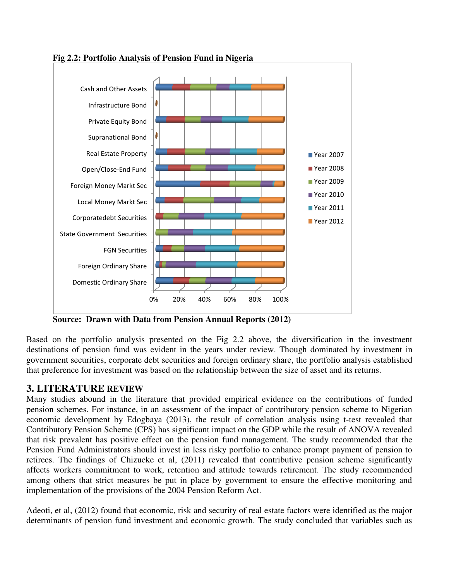

**Fig 2.2: Portfolio Analysis of Pension Fund in Nigeria** 

**Source: Drawn with Data from Pension Annual Reports (2012)** 

Based on the portfolio analysis presented on the Fig 2.2 above, the diversification in the investment destinations of pension fund was evident in the years under review. Though dominated by investment in government securities, corporate debt securities and foreign ordinary share, the portfolio analysis established that preference for investment was based on the relationship between the size of asset and its returns.

# **3. LITERATURE REVIEW**

Many studies abound in the literature that provided empirical evidence on the contributions of funded pension schemes. For instance, in an assessment of the impact of contributory pension scheme to Nigerian economic development by Edogbaya (2013), the result of correlation analysis using t-test revealed that Contributory Pension Scheme (CPS) has significant impact on the GDP while the result of ANOVA revealed that risk prevalent has positive effect on the pension fund management. The study recommended that the Pension Fund Administrators should invest in less risky portfolio to enhance prompt payment of pension to retirees. The findings of Chizueke et al, (2011) revealed that contributive pension scheme significantly affects workers commitment to work, retention and attitude towards retirement. The study recommended among others that strict measures be put in place by government to ensure the effective monitoring and implementation of the provisions of the 2004 Pension Reform Act.

Adeoti, et al, (2012) found that economic, risk and security of real estate factors were identified as the major determinants of pension fund investment and economic growth. The study concluded that variables such as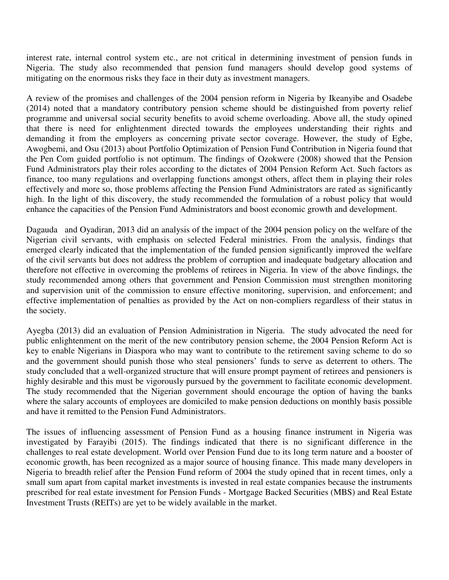interest rate, internal control system etc., are not critical in determining investment of pension funds in Nigeria. The study also recommended that pension fund managers should develop good systems of mitigating on the enormous risks they face in their duty as investment managers.

A review of the promises and challenges of the 2004 pension reform in Nigeria by Ikeanyibe and Osadebe (2014) noted that a mandatory contributory pension scheme should be distinguished from poverty relief programme and universal social security benefits to avoid scheme overloading. Above all, the study opined that there is need for enlightenment directed towards the employees understanding their rights and demanding it from the employers as concerning private sector coverage. However, the study of Egbe, Awogbemi, and Osu (2013) about Portfolio Optimization of Pension Fund Contribution in Nigeria found that the Pen Com guided portfolio is not optimum. The findings of Ozokwere (2008) showed that the Pension Fund Administrators play their roles according to the dictates of 2004 Pension Reform Act. Such factors as finance, too many regulations and overlapping functions amongst others, affect them in playing their roles effectively and more so, those problems affecting the Pension Fund Administrators are rated as significantly high. In the light of this discovery, the study recommended the formulation of a robust policy that would enhance the capacities of the Pension Fund Administrators and boost economic growth and development.

Dagauda and Oyadiran, 2013 did an analysis of the impact of the 2004 pension policy on the welfare of the Nigerian civil servants, with emphasis on selected Federal ministries. From the analysis, findings that emerged clearly indicated that the implementation of the funded pension significantly improved the welfare of the civil servants but does not address the problem of corruption and inadequate budgetary allocation and therefore not effective in overcoming the problems of retirees in Nigeria. In view of the above findings, the study recommended among others that government and Pension Commission must strengthen monitoring and supervision unit of the commission to ensure effective monitoring, supervision, and enforcement; and effective implementation of penalties as provided by the Act on non-compliers regardless of their status in the society.

Ayegba (2013) did an evaluation of Pension Administration in Nigeria. The study advocated the need for public enlightenment on the merit of the new contributory pension scheme, the 2004 Pension Reform Act is key to enable Nigerians in Diaspora who may want to contribute to the retirement saving scheme to do so and the government should punish those who steal pensioners' funds to serve as deterrent to others. The study concluded that a well-organized structure that will ensure prompt payment of retirees and pensioners is highly desirable and this must be vigorously pursued by the government to facilitate economic development. The study recommended that the Nigerian government should encourage the option of having the banks where the salary accounts of employees are domiciled to make pension deductions on monthly basis possible and have it remitted to the Pension Fund Administrators.

The issues of influencing assessment of Pension Fund as a housing finance instrument in Nigeria was investigated by Farayibi (2015). The findings indicated that there is no significant difference in the challenges to real estate development. World over Pension Fund due to its long term nature and a booster of economic growth, has been recognized as a major source of housing finance. This made many developers in Nigeria to breadth relief after the Pension Fund reform of 2004 the study opined that in recent times, only a small sum apart from capital market investments is invested in real estate companies because the instruments prescribed for real estate investment for Pension Funds - Mortgage Backed Securities (MBS) and Real Estate Investment Trusts (REITs) are yet to be widely available in the market.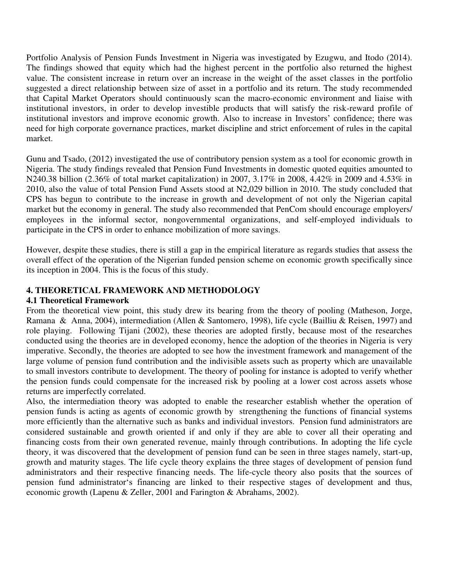Portfolio Analysis of Pension Funds Investment in Nigeria was investigated by Ezugwu, and Itodo (2014). The findings showed that equity which had the highest percent in the portfolio also returned the highest value. The consistent increase in return over an increase in the weight of the asset classes in the portfolio suggested a direct relationship between size of asset in a portfolio and its return. The study recommended that Capital Market Operators should continuously scan the macro-economic environment and liaise with institutional investors, in order to develop investible products that will satisfy the risk-reward profile of institutional investors and improve economic growth. Also to increase in Investors' confidence; there was need for high corporate governance practices, market discipline and strict enforcement of rules in the capital market.

Gunu and Tsado, (2012) investigated the use of contributory pension system as a tool for economic growth in Nigeria. The study findings revealed that Pension Fund Investments in domestic quoted equities amounted to N240.38 billion (2.36% of total market capitalization) in 2007, 3.17% in 2008, 4.42% in 2009 and 4.53% in 2010, also the value of total Pension Fund Assets stood at N2,029 billion in 2010. The study concluded that CPS has begun to contribute to the increase in growth and development of not only the Nigerian capital market but the economy in general. The study also recommended that PenCom should encourage employers/ employees in the informal sector, nongovernmental organizations, and self-employed individuals to participate in the CPS in order to enhance mobilization of more savings.

However, despite these studies, there is still a gap in the empirical literature as regards studies that assess the overall effect of the operation of the Nigerian funded pension scheme on economic growth specifically since its inception in 2004. This is the focus of this study.

# **4. THEORETICAL FRAMEWORK AND METHODOLOGY**

# **4.1 Theoretical Framework**

From the theoretical view point, this study drew its bearing from the theory of pooling (Matheson, Jorge, Ramana & Anna, 2004), intermediation (Allen & Santomero, 1998), life cycle (Bailliu & Reisen, 1997) and role playing. Following Tijani (2002), these theories are adopted firstly, because most of the researches conducted using the theories are in developed economy, hence the adoption of the theories in Nigeria is very imperative. Secondly, the theories are adopted to see how the investment framework and management of the large volume of pension fund contribution and the indivisible assets such as property which are unavailable to small investors contribute to development. The theory of pooling for instance is adopted to verify whether the pension funds could compensate for the increased risk by pooling at a lower cost across assets whose returns are imperfectly correlated.

Also, the intermediation theory was adopted to enable the researcher establish whether the operation of pension funds is acting as agents of economic growth by strengthening the functions of financial systems more efficiently than the alternative such as banks and individual investors. Pension fund administrators are considered sustainable and growth oriented if and only if they are able to cover all their operating and financing costs from their own generated revenue, mainly through contributions. In adopting the life cycle theory, it was discovered that the development of pension fund can be seen in three stages namely, start-up, growth and maturity stages. The life cycle theory explains the three stages of development of pension fund administrators and their respective financing needs. The life-cycle theory also posits that the sources of pension fund administrator's financing are linked to their respective stages of development and thus, economic growth (Lapenu & Zeller, 2001 and Farington & Abrahams, 2002).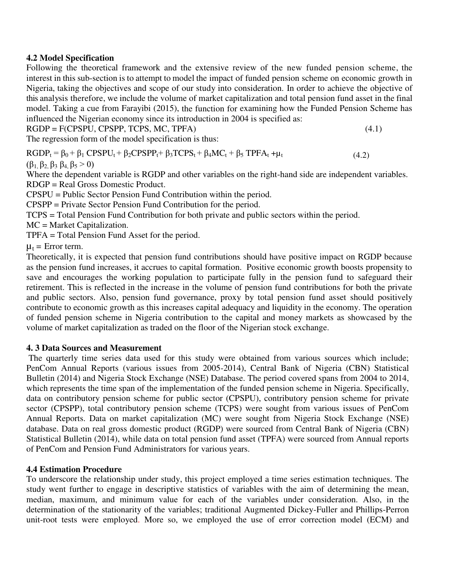# **4.2 Model Specification**

Following the theoretical framework and the extensive review of the new funded pension scheme, the interest in this sub-section is to attempt to model the impact of funded pension scheme on economic growth in Nigeria, taking the objectives and scope of our study into consideration. In order to achieve the objective of this analysis therefore, we include the volume of market capitalization and total pension fund asset in the final model. Taking a cue from Farayibi (2015), the function for examining how the Funded Pension Scheme has influenced the Nigerian economy since its introduction in 2004 is specified as:

 $RGDP = F(CPSPU, CPSPP, TCPS, MC, TPFA)$  (4.1)

The regression form of the model specification is thus:

 $RGDP_t = \beta_0 + \beta_1 CPSPU_t + \beta_2 CPSPP_t + \beta_3 TCPS_t + \beta_4 MC_t + \beta_5 TPPA_t + \mu_t$  (4.2)  $(\beta_1, \beta_2, \beta_3, \beta_4, \beta_5 > 0)$ 

Where the dependent variable is RGDP and other variables on the right-hand side are independent variables. RDGP = Real Gross Domestic Product.

CPSPU = Public Sector Pension Fund Contribution within the period.

CPSPP = Private Sector Pension Fund Contribution for the period.

TCPS = Total Pension Fund Contribution for both private and public sectors within the period.

MC = Market Capitalization.

TPFA = Total Pension Fund Asset for the period.

 $\mu_t$  = Error term.

Theoretically, it is expected that pension fund contributions should have positive impact on RGDP because as the pension fund increases, it accrues to capital formation. Positive economic growth boosts propensity to save and encourages the working population to participate fully in the pension fund to safeguard their retirement. This is reflected in the increase in the volume of pension fund contributions for both the private and public sectors. Also, pension fund governance, proxy by total pension fund asset should positively contribute to economic growth as this increases capital adequacy and liquidity in the economy. The operation of funded pension scheme in Nigeria contribution to the capital and money markets as showcased by the volume of market capitalization as traded on the floor of the Nigerian stock exchange.

## **4. 3 Data Sources and Measurement**

 The quarterly time series data used for this study were obtained from various sources which include; PenCom Annual Reports (various issues from 2005-2014), Central Bank of Nigeria (CBN) Statistical Bulletin (2014) and Nigeria Stock Exchange (NSE) Database. The period covered spans from 2004 to 2014, which represents the time span of the implementation of the funded pension scheme in Nigeria. Specifically, data on contributory pension scheme for public sector (CPSPU), contributory pension scheme for private sector (CPSPP), total contributory pension scheme (TCPS) were sought from various issues of PenCom Annual Reports. Data on market capitalization (MC) were sought from Nigeria Stock Exchange (NSE) database. Data on real gross domestic product (RGDP) were sourced from Central Bank of Nigeria (CBN) Statistical Bulletin (2014), while data on total pension fund asset (TPFA) were sourced from Annual reports of PenCom and Pension Fund Administrators for various years.

## **4.4 Estimation Procedure**

To underscore the relationship under study, this project employed a time series estimation techniques. The study went further to engage in descriptive statistics of variables with the aim of determining the mean, median, maximum, and minimum value for each of the variables under consideration. Also, in the determination of the stationarity of the variables; traditional Augmented Dickey-Fuller and Phillips-Perron unit-root tests were employed. More so, we employed the use of error correction model (ECM) and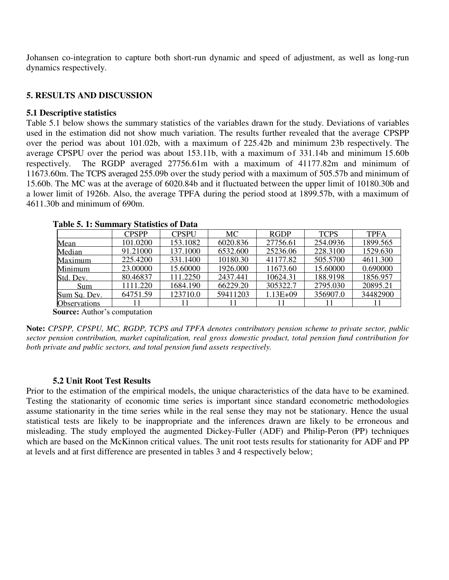Johansen co-integration to capture both short-run dynamic and speed of adjustment, as well as long-run dynamics respectively.

# **5. RESULTS AND DISCUSSION**

## **5.1 Descriptive statistics**

Table 5.1 below shows the summary statistics of the variables drawn for the study. Deviations of variables used in the estimation did not show much variation. The results further revealed that the average CPSPP over the period was about 101.02b, with a maximum of 225.42b and minimum 23b respectively. The average CPSPU over the period was about 153.11b, with a maximum of 331.14b and minimum 15.60b respectively. The RGDP averaged 27756.61m with a maximum of 41177.82m and minimum of 11673.60m. The TCPS averaged 255.09b over the study period with a maximum of 505.57b and minimum of 15.60b. The MC was at the average of 6020.84b and it fluctuated between the upper limit of 10180.30b and a lower limit of 1926b. Also, the average TPFA during the period stood at 1899.57b, with a maximum of 4611.30b and minimum of 690m.

|                     | <b>CPSPP</b> | <b>CPSPU</b> | MC.      | <b>RGDP</b>  | <b>TCPS</b> | <b>TPFA</b> |
|---------------------|--------------|--------------|----------|--------------|-------------|-------------|
| Mean                | 101.0200     | 153.1082     | 6020.836 | 27756.61     | 254.0936    | 1899.565    |
| Median              | 91.21000     | 137.1000     | 6532.600 | 25236.06     | 228.3100    | 1529.630    |
| Maximum             | 225.4200     | 331.1400     | 10180.30 | 41177.82     | 505.5700    | 4611.300    |
| Minimum             | 23.00000     | 15.60000     | 1926.000 | 11673.60     | 15.60000    | 0.690000    |
| Std. Dev.           | 80.46837     | 111.2250     | 2437.441 | 10624.31     | 188.9198    | 1856.957    |
| Sum                 | 1111.220     | 1684.190     | 66229.20 | 305322.7     | 2795.030    | 20895.21    |
| Sum Sq. Dev.        | 64751.59     | 123710.0     | 59411203 | $1.13E + 09$ | 356907.0    | 34482900    |
| <b>Observations</b> |              |              |          |              |             |             |

#### **Table 5. 1: Summary Statistics of Data**

**Source:** Author's computation

**Note:** *CPSPP, CPSPU, MC, RGDP, TCPS and TPFA denotes contributory pension scheme to private sector, public sector pension contribution, market capitalization, real gross domestic product, total pension fund contribution for both private and public sectors, and total pension fund assets respectively.* 

## **5.2 Unit Root Test Results**

Prior to the estimation of the empirical models, the unique characteristics of the data have to be examined. Testing the stationarity of economic time series is important since standard econometric methodologies assume stationarity in the time series while in the real sense they may not be stationary. Hence the usual statistical tests are likely to be inappropriate and the inferences drawn are likely to be erroneous and misleading. The study employed the augmented Dickey-Fuller (ADF) and Philip-Peron (PP) techniques which are based on the McKinnon critical values. The unit root tests results for stationarity for ADF and PP at levels and at first difference are presented in tables 3 and 4 respectively below;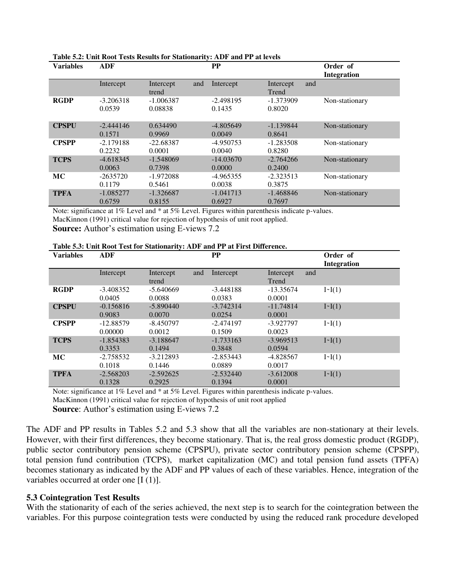| <b>Variables</b> | <b>ADF</b>            |                        |     | $\bf PP$              |                       |     | Order of<br><b>Integration</b> |
|------------------|-----------------------|------------------------|-----|-----------------------|-----------------------|-----|--------------------------------|
|                  | Intercept             | Intercept<br>trend     | and | Intercept             | Intercept<br>Trend    | and |                                |
| <b>RGDP</b>      | $-3.206318$<br>0.0539 | $-1.006387$<br>0.08838 |     | $-2.498195$<br>0.1435 | $-1.373909$<br>0.8020 |     | Non-stationary                 |
| <b>CPSPU</b>     | $-2.444146$<br>0.1571 | 0.634490<br>0.9969     |     | $-4.805649$<br>0.0049 | $-1.139844$<br>0.8641 |     | Non-stationary                 |
| <b>CPSPP</b>     | $-2.179188$<br>0.2232 | $-22.68387$<br>0.0001  |     | $-4.950753$<br>0.0040 | $-1.283508$<br>0.8280 |     | Non-stationary                 |
| <b>TCPS</b>      | $-4.618345$<br>0.0063 | $-1.548069$<br>0.7398  |     | $-14.03670$<br>0.0000 | $-2.764266$<br>0.2400 |     | Non-stationary                 |
| MC               | $-2635720$<br>0.1179  | $-1.972088$<br>0.5461  |     | $-4.965355$<br>0.0038 | $-2.323513$<br>0.3875 |     | Non-stationary                 |
| <b>TPFA</b>      | $-1.085277$<br>0.6759 | $-1.326687$<br>0.8155  |     | $-1.041713$<br>0.6927 | $-1.468846$<br>0.7697 |     | Non-stationary                 |

#### **Table 5.2: Unit Root Tests Results for Stationarity: ADF and PP at levels**

Note: significance at 1% Level and \* at 5% Level. Figures within parenthesis indicate p-values. MacKinnon (1991) critical value for rejection of hypothesis of unit root applied. **Source:** Author's estimation using E-views 7.2

#### **Table 5.3: Unit Root Test for Stationarity: ADF and PP at First Difference.**

| <b>Variables</b> | <b>ADF</b>             |                       |     | $\bf PP$              |                       |     | Order of<br><b>Integration</b> |
|------------------|------------------------|-----------------------|-----|-----------------------|-----------------------|-----|--------------------------------|
|                  | Intercept              | Intercept<br>trend    | and | Intercept             | Intercept<br>Trend    | and |                                |
| <b>RGDP</b>      | $-3.408352$<br>0.0405  | $-5.640669$<br>0.0088 |     | $-3.448188$<br>0.0383 | $-13.35674$<br>0.0001 |     | $I^{\sim}I(1)$                 |
| <b>CPSPU</b>     | $-0.156816$<br>0.9083  | $-5.890440$<br>0.0070 |     | $-3.742314$<br>0.0254 | $-11.74814$<br>0.0001 |     | $I^{\sim}I(1)$                 |
| <b>CPSPP</b>     | $-12.88579$<br>0.00000 | $-8.450797$<br>0.0012 |     | $-2.474197$<br>0.1509 | $-3.927797$<br>0.0023 |     | $I^{\sim}I(1)$                 |
| <b>TCPS</b>      | $-1.854383$<br>0.3353  | $-3.188647$<br>0.1494 |     | $-1.733163$<br>0.3848 | $-3.969513$<br>0.0594 |     | $I^{\sim}I(1)$                 |
| МC               | $-2.758532$<br>0.1018  | $-3.212893$<br>0.1446 |     | $-2.853443$<br>0.0889 | -4.828567<br>0.0017   |     | $I^{\sim}I(1)$                 |
| <b>TPFA</b>      | $-2.568203$<br>0.1328  | $-2.592625$<br>0.2925 |     | $-2.532440$<br>0.1394 | $-3.612008$<br>0.0001 |     | $I^{\sim}I(1)$                 |

Note: significance at 1% Level and \* at 5% Level. Figures within parenthesis indicate p-values. MacKinnon (1991) critical value for rejection of hypothesis of unit root applied **Source**: Author's estimation using E-views 7.2

The ADF and PP results in Tables 5.2 and 5.3 show that all the variables are non-stationary at their levels. However, with their first differences, they become stationary. That is, the real gross domestic product (RGDP), public sector contributory pension scheme (CPSPU), private sector contributory pension scheme (CPSPP), total pension fund contribution (TCPS), market capitalization (MC) and total pension fund assets (TPFA) becomes stationary as indicated by the ADF and PP values of each of these variables. Hence, integration of the variables occurred at order one [I (1)].

#### **5.3 Cointegration Test Results**

With the stationarity of each of the series achieved, the next step is to search for the cointegration between the variables. For this purpose cointegration tests were conducted by using the reduced rank procedure developed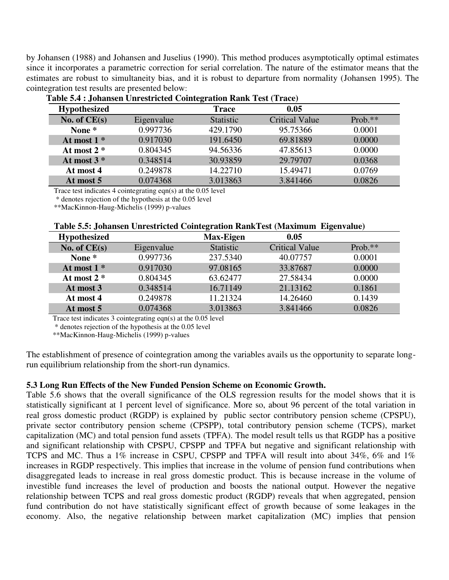by Johansen (1988) and Johansen and Juselius (1990). This method produces asymptotically optimal estimates since it incorporates a parametric correction for serial correlation. The nature of the estimator means that the estimates are robust to simultaneity bias, and it is robust to departure from normality (Johansen 1995). The cointegration test results are presented below:

| <b>Hypothesized</b> |            | <b>Trace</b> | 0.05                  |           |
|---------------------|------------|--------------|-----------------------|-----------|
| No. of $CE(s)$      | Eigenvalue | Statistic    | <b>Critical Value</b> | $Prob.**$ |
| None *              | 0.997736   | 429.1790     | 95.75366              | 0.0001    |
| At most $1*$        | 0.917030   | 191.6450     | 69.81889              | 0.0000    |
| At most $2 *$       | 0.804345   | 94.56336     | 47.85613              | 0.0000    |
| At most $3*$        | 0.348514   | 30.93859     | 29.79707              | 0.0368    |
| At most 4           | 0.249878   | 14.22710     | 15.49471              | 0.0769    |
| At most 5           | 0.074368   | 3.013863     | 3.841466              | 0.0826    |

# **Table 5.4 : Johansen Unrestricted Cointegration Rank Test (Trace)**

Trace test indicates 4 cointegrating eqn(s) at the 0.05 level

\* denotes rejection of the hypothesis at the 0.05 level

\*\*MacKinnon-Haug-Michelis (1999) p-values

| Table 5.5: Johansen Unrestricted Cointegration RankTest (Maximum Eigenvalue) |  |  |  |
|------------------------------------------------------------------------------|--|--|--|
|                                                                              |  |  |  |

| <b>Hypothesized</b> |            | <b>Max-Eigen</b> | 0.05                  |           |
|---------------------|------------|------------------|-----------------------|-----------|
| No. of $CE(s)$      | Eigenvalue | <b>Statistic</b> | <b>Critical Value</b> | $Prob.**$ |
| None *              | 0.997736   | 237.5340         | 40.07757              | 0.0001    |
| At most $1*$        | 0.917030   | 97.08165         | 33.87687              | 0.0000    |
| At most $2 *$       | 0.804345   | 63.62477         | 27.58434              | 0.0000    |
| At most 3           | 0.348514   | 16.71149         | 21.13162              | 0.1861    |
| At most 4           | 0.249878   | 11.21324         | 14.26460              | 0.1439    |
| At most 5           | 0.074368   | 3.013863         | 3.841466              | 0.0826    |

Trace test indicates 3 cointegrating eqn(s) at the 0.05 level

\* denotes rejection of the hypothesis at the 0.05 level

\*\*MacKinnon-Haug-Michelis (1999) p-values

The establishment of presence of cointegration among the variables avails us the opportunity to separate longrun equilibrium relationship from the short-run dynamics.

#### **5.3 Long Run Effects of the New Funded Pension Scheme on Economic Growth.**

Table 5.6 shows that the overall significance of the OLS regression results for the model shows that it is statistically significant at 1 percent level of significance. More so, about 96 percent of the total variation in real gross domestic product (RGDP) is explained by public sector contributory pension scheme (CPSPU), private sector contributory pension scheme (CPSPP), total contributory pension scheme (TCPS), market capitalization (MC) and total pension fund assets (TPFA). The model result tells us that RGDP has a positive and significant relationship with CPSPU, CPSPP and TPFA but negative and significant relationship with TCPS and MC. Thus a 1% increase in CSPU, CPSPP and TPFA will result into about 34%, 6% and 1% increases in RGDP respectively. This implies that increase in the volume of pension fund contributions when disaggregated leads to increase in real gross domestic product. This is because increase in the volume of investible fund increases the level of production and boosts the national output. However the negative relationship between TCPS and real gross domestic product (RGDP) reveals that when aggregated, pension fund contribution do not have statistically significant effect of growth because of some leakages in the economy. Also, the negative relationship between market capitalization (MC) implies that pension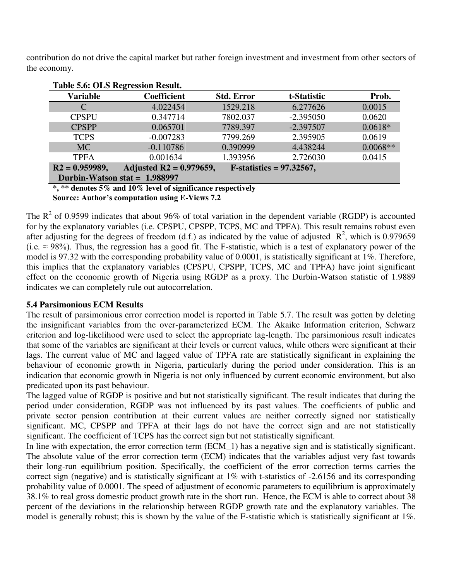contribution do not drive the capital market but rather foreign investment and investment from other sectors of the economy.

|                  | Table 5.6: OLS Regression Result. |                   |                            |            |  |  |
|------------------|-----------------------------------|-------------------|----------------------------|------------|--|--|
| <b>Variable</b>  | <b>Coefficient</b>                | <b>Std. Error</b> | t-Statistic                | Prob.      |  |  |
| C                | 4.022454                          | 1529.218          | 6.277626                   | 0.0015     |  |  |
| <b>CPSPU</b>     | 0.347714                          | 7802.037          | $-2.395050$                | 0.0620     |  |  |
| <b>CPSPP</b>     | 0.065701                          | 7789.397          | $-2.397507$                | $0.0618*$  |  |  |
| <b>TCPS</b>      | $-0.007283$                       | 7799.269          | 2.395905                   | 0.0619     |  |  |
| MC               | $-0.110786$                       | 0.390999          | 4.438244                   | $0.0068**$ |  |  |
| <b>TPFA</b>      | 0.001634                          | 1.393956          | 2.726030                   | 0.0415     |  |  |
| $R2 = 0.959989,$ | Adjusted $R2 = 0.979659$ ,        |                   | $F-statistics = 97.32567,$ |            |  |  |
|                  | Durbin-Watson stat = $1.988997$   |                   |                            |            |  |  |

**\*, \*\* denotes 5% and 10% level of significance respectively Source: Author's computation using E-Views 7.2** 

The  $R^2$  of 0.9599 indicates that about 96% of total variation in the dependent variable (RGDP) is accounted for by the explanatory variables (i.e. CPSPU, CPSPP, TCPS, MC and TPFA). This result remains robust even after adjusting for the degrees of freedom (d.f.) as indicated by the value of adjusted  $\mathbb{R}^2$ , which is 0.979659 (i.e.  $\approx$  98%). Thus, the regression has a good fit. The F-statistic, which is a test of explanatory power of the model is 97.32 with the corresponding probability value of 0.0001, is statistically significant at 1%. Therefore, this implies that the explanatory variables (CPSPU, CPSPP, TCPS, MC and TPFA) have joint significant effect on the economic growth of Nigeria using RGDP as a proxy. The Durbin-Watson statistic of 1.9889 indicates we can completely rule out autocorrelation.

## **5.4 Parsimonious ECM Results**

The result of parsimonious error correction model is reported in Table 5.7. The result was gotten by deleting the insignificant variables from the over-parameterized ECM. The Akaike Information criterion, Schwarz criterion and log-likelihood were used to select the appropriate lag-length. The parsimonious result indicates that some of the variables are significant at their levels or current values, while others were significant at their lags. The current value of MC and lagged value of TPFA rate are statistically significant in explaining the behaviour of economic growth in Nigeria, particularly during the period under consideration. This is an indication that economic growth in Nigeria is not only influenced by current economic environment, but also predicated upon its past behaviour.

The lagged value of RGDP is positive and but not statistically significant. The result indicates that during the period under consideration, RGDP was not influenced by its past values. The coefficients of public and private sector pension contribution at their current values are neither correctly signed nor statistically significant. MC, CPSPP and TPFA at their lags do not have the correct sign and are not statistically significant. The coefficient of TCPS has the correct sign but not statistically significant.

In line with expectation, the error correction term (ECM\_1) has a negative sign and is statistically significant. The absolute value of the error correction term (ECM) indicates that the variables adjust very fast towards their long-run equilibrium position. Specifically, the coefficient of the error correction terms carries the correct sign (negative) and is statistically significant at 1% with t-statistics of -2.6156 and its corresponding probability value of 0.0001. The speed of adjustment of economic parameters to equilibrium is approximately 38.1% to real gross domestic product growth rate in the short run. Hence, the ECM is able to correct about 38 percent of the deviations in the relationship between RGDP growth rate and the explanatory variables. The model is generally robust; this is shown by the value of the F-statistic which is statistically significant at 1%.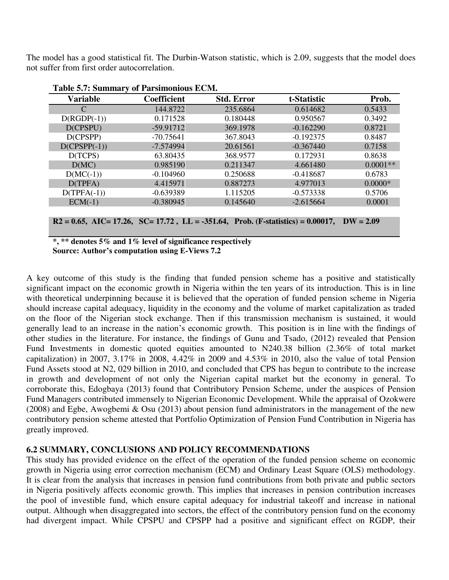The model has a good statistical fit. The Durbin-Watson statistic, which is 2.09, suggests that the model does not suffer from first order autocorrelation.

|                | <b>Lavic 3.7. Summal y 01 Lai simonious ECIVI.</b> |                   |             |            |
|----------------|----------------------------------------------------|-------------------|-------------|------------|
| Variable       | <b>Coefficient</b>                                 | <b>Std. Error</b> | t-Statistic | Prob.      |
| C              | 144.8722                                           | 235.6864          | 0.614682    | 0.5433     |
| $D(RGDP(-1))$  | 0.171528                                           | 0.180448          | 0.950567    | 0.3492     |
| D(CPSPU)       | -59.91712                                          | 369.1978          | $-0.162290$ | 0.8721     |
| D(CPSPP)       | $-70.75641$                                        | 367.8043          | $-0.192375$ | 0.8487     |
| $D(CPSPP(-1))$ | $-7.574994$                                        | 20.61561          | $-0.367440$ | 0.7158     |
| D(TCPS)        | 63.80435                                           | 368.9577          | 0.172931    | 0.8638     |
| D(MC)          | 0.985190                                           | 0.211347          | 4.661480    | $0.0001**$ |
| $D(MC(-1))$    | $-0.104960$                                        | 0.250688          | $-0.418687$ | 0.6783     |
| D(TPFA)        | 4.415971                                           | 0.887273          | 4.977013    | $0.0000*$  |
| $D(TPFA(-1))$  | $-0.639389$                                        | 1.115205          | $-0.573338$ | 0.5706     |
| $ECM(-1)$      | $-0.380945$                                        | 0.145640          | $-2.615664$ | 0.0001     |
|                |                                                    |                   |             |            |

|  | Table 5.7: Summary of Parsimonious ECM. |  |
|--|-----------------------------------------|--|
|--|-----------------------------------------|--|

**R2 = 0.65, AIC= 17.26, SC= 17.72 , LL = -351.64, Prob. (F-statistics) = 0.00017, DW = 2.09** 

**\*, \*\* denotes 5% and 1% level of significance respectively Source: Author's computation using E-Views 7.2** 

A key outcome of this study is the finding that funded pension scheme has a positive and statistically significant impact on the economic growth in Nigeria within the ten years of its introduction. This is in line with theoretical underpinning because it is believed that the operation of funded pension scheme in Nigeria should increase capital adequacy, liquidity in the economy and the volume of market capitalization as traded on the floor of the Nigerian stock exchange. Then if this transmission mechanism is sustained, it would generally lead to an increase in the nation's economic growth. This position is in line with the findings of other studies in the literature. For instance, the findings of Gunu and Tsado, (2012) revealed that Pension Fund Investments in domestic quoted equities amounted to N240.38 billion (2.36% of total market capitalization) in 2007, 3.17% in 2008, 4.42% in 2009 and 4.53% in 2010, also the value of total Pension Fund Assets stood at N2, 029 billion in 2010, and concluded that CPS has begun to contribute to the increase in growth and development of not only the Nigerian capital market but the economy in general. To corroborate this, Edogbaya (2013) found that Contributory Pension Scheme, under the auspices of Pension Fund Managers contributed immensely to Nigerian Economic Development. While the appraisal of Ozokwere (2008) and Egbe, Awogbemi & Osu (2013) about pension fund administrators in the management of the new contributory pension scheme attested that Portfolio Optimization of Pension Fund Contribution in Nigeria has greatly improved.

# **6.2 SUMMARY, CONCLUSIONS AND POLICY RECOMMENDATIONS**

This study has provided evidence on the effect of the operation of the funded pension scheme on economic growth in Nigeria using error correction mechanism (ECM) and Ordinary Least Square (OLS) methodology. It is clear from the analysis that increases in pension fund contributions from both private and public sectors in Nigeria positively affects economic growth. This implies that increases in pension contribution increases the pool of investible fund, which ensure capital adequacy for industrial takeoff and increase in national output. Although when disaggregated into sectors, the effect of the contributory pension fund on the economy had divergent impact. While CPSPU and CPSPP had a positive and significant effect on RGDP, their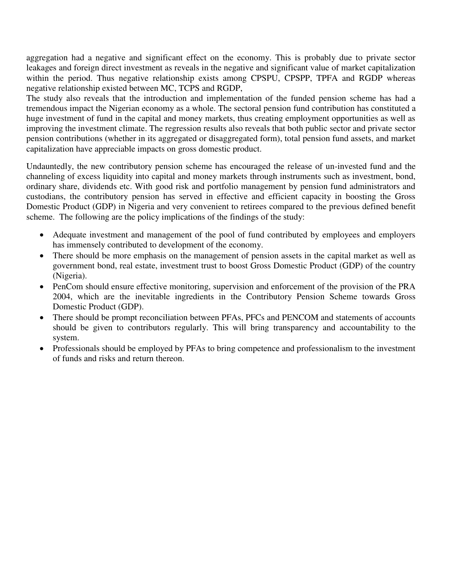aggregation had a negative and significant effect on the economy. This is probably due to private sector leakages and foreign direct investment as reveals in the negative and significant value of market capitalization within the period. Thus negative relationship exists among CPSPU, CPSPP, TPFA and RGDP whereas negative relationship existed between MC, TCPS and RGDP,

The study also reveals that the introduction and implementation of the funded pension scheme has had a tremendous impact the Nigerian economy as a whole. The sectoral pension fund contribution has constituted a huge investment of fund in the capital and money markets, thus creating employment opportunities as well as improving the investment climate. The regression results also reveals that both public sector and private sector pension contributions (whether in its aggregated or disaggregated form), total pension fund assets, and market capitalization have appreciable impacts on gross domestic product.

Undauntedly, the new contributory pension scheme has encouraged the release of un-invested fund and the channeling of excess liquidity into capital and money markets through instruments such as investment, bond, ordinary share, dividends etc. With good risk and portfolio management by pension fund administrators and custodians, the contributory pension has served in effective and efficient capacity in boosting the Gross Domestic Product (GDP) in Nigeria and very convenient to retirees compared to the previous defined benefit scheme. The following are the policy implications of the findings of the study:

- Adequate investment and management of the pool of fund contributed by employees and employers has immensely contributed to development of the economy.
- There should be more emphasis on the management of pension assets in the capital market as well as government bond, real estate, investment trust to boost Gross Domestic Product (GDP) of the country (Nigeria).
- PenCom should ensure effective monitoring, supervision and enforcement of the provision of the PRA 2004, which are the inevitable ingredients in the Contributory Pension Scheme towards Gross Domestic Product (GDP).
- There should be prompt reconciliation between PFAs, PFCs and PENCOM and statements of accounts should be given to contributors regularly. This will bring transparency and accountability to the system.
- Professionals should be employed by PFAs to bring competence and professionalism to the investment of funds and risks and return thereon.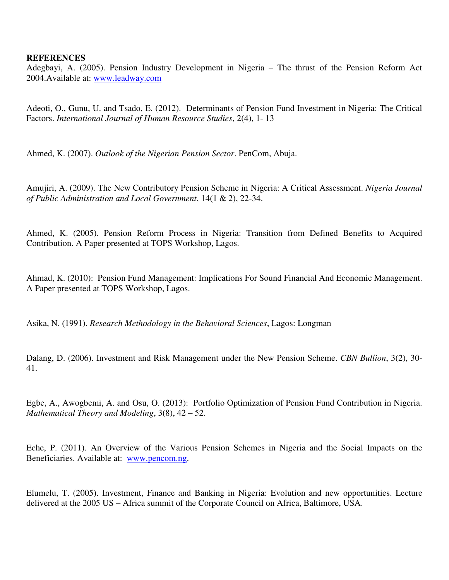#### **REFERENCES**

Adegbayi, A. (2005). Pension Industry Development in Nigeria – The thrust of the Pension Reform Act 2004.Available at: [www.leadway.com](http://www.leadway.com/) 

Adeoti, O., Gunu, U. and Tsado, E. (2012). Determinants of Pension Fund Investment in Nigeria: The Critical Factors. *International Journal of Human Resource Studies*, 2(4), 1- 13

Ahmed, K. (2007). *Outlook of the Nigerian Pension Sector*. PenCom, Abuja.

Amujiri, A. (2009). The New Contributory Pension Scheme in Nigeria: A Critical Assessment. *Nigeria Journal of Public Administration and Local Government*, 14(1 & 2), 22-34.

Ahmed, K. (2005). Pension Reform Process in Nigeria: Transition from Defined Benefits to Acquired Contribution. A Paper presented at TOPS Workshop, Lagos.

Ahmad, K. (2010): Pension Fund Management: Implications For Sound Financial And Economic Management. A Paper presented at TOPS Workshop, Lagos.

Asika, N. (1991). *Research Methodology in the Behavioral Sciences*, Lagos: Longman

Dalang, D. (2006). Investment and Risk Management under the New Pension Scheme. *CBN Bullion*, 3(2), 30- 41.

Egbe, A., Awogbemi, A. and Osu, O. (2013): Portfolio Optimization of Pension Fund Contribution in Nigeria. *Mathematical Theory and Modeling*, 3(8), 42 – 52.

Eche, P. (2011). An Overview of the Various Pension Schemes in Nigeria and the Social Impacts on the Beneficiaries. Available at: [www.pencom.ng.](http://www.pencom.ng/)

Elumelu, T. (2005). Investment, Finance and Banking in Nigeria: Evolution and new opportunities. Lecture delivered at the 2005 US – Africa summit of the Corporate Council on Africa, Baltimore, USA.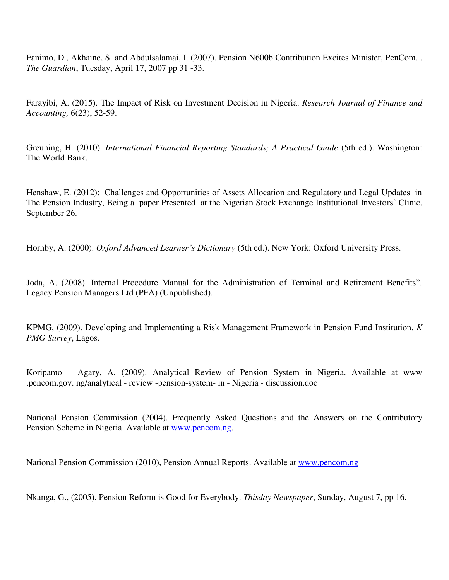Fanimo, D., Akhaine, S. and Abdulsalamai, I. (2007). Pension N600b Contribution Excites Minister, PenCom. . *The Guardian*, Tuesday, April 17, 2007 pp 31 -33.

Farayibi, A. (2015). The Impact of Risk on Investment Decision in Nigeria. *Research Journal of Finance and Accounting,* 6(23), 52-59.

Greuning, H. (2010). *International Financial Reporting Standards; A Practical Guide* (5th ed.). Washington: The World Bank.

Henshaw, E. (2012): Challenges and Opportunities of Assets Allocation and Regulatory and Legal Updates in The Pension Industry, Being a paper Presented at the Nigerian Stock Exchange Institutional Investors' Clinic, September 26.

Hornby, A. (2000). *Oxford Advanced Learner's Dictionary* (5th ed.). New York: Oxford University Press.

Joda, A. (2008). Internal Procedure Manual for the Administration of Terminal and Retirement Benefits". Legacy Pension Managers Ltd (PFA) (Unpublished).

KPMG, (2009). Developing and Implementing a Risk Management Framework in Pension Fund Institution. *K PMG Survey*, Lagos.

Koripamo – Agary, A. (2009). Analytical Review of Pension System in Nigeria. Available at www .pencom.gov. ng/analytical - review -pension-system- in - Nigeria - discussion.doc

National Pension Commission (2004). Frequently Asked Questions and the Answers on the Contributory Pension Scheme in Nigeria. Available at [www.pencom.ng.](http://www.pencom.ng/)

National Pension Commission (2010), Pension Annual Reports. Available at [www.pencom.ng](http://www.pencom.ng/) 

Nkanga, G., (2005). Pension Reform is Good for Everybody. *Thisday Newspaper*, Sunday, August 7, pp 16.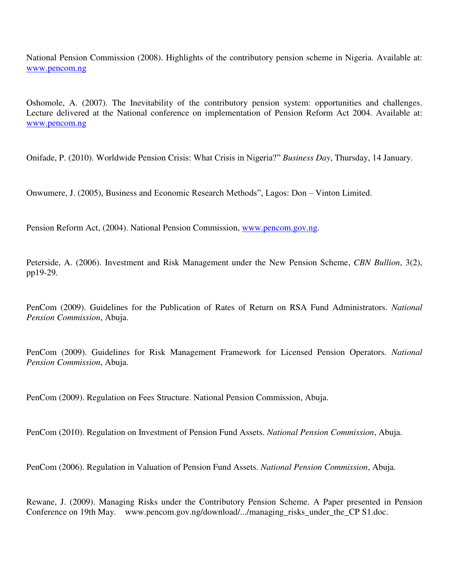National Pension Commission (2008). Highlights of the contributory pension scheme in Nigeria. Available at: [www.pencom.ng](http://www.pencom.ng/) 

Oshomole, A. (2007). The Inevitability of the contributory pension system: opportunities and challenges. Lecture delivered at the National conference on implementation of Pension Reform Act 2004. Available at: [www.pencom.ng](http://www.pencom.ng/) 

Onifade, P. (2010). Worldwide Pension Crisis: What Crisis in Nigeria?" *Business Day*, Thursday, 14 January.

Onwumere, J. (2005), Business and Economic Research Methods", Lagos: Don – Vinton Limited.

Pension Reform Act, (2004). National Pension Commission, [www.pencom.gov.ng.](http://www.pencom.gov.ng/)

Peterside, A. (2006). Investment and Risk Management under the New Pension Scheme, *CBN Bullion*, 3(2), pp19-29.

PenCom (2009). Guidelines for the Publication of Rates of Return on RSA Fund Administrators. *National Pension Commission*, Abuja.

PenCom (2009). Guidelines for Risk Management Framework for Licensed Pension Operators. *National Pension Commission*, Abuja.

PenCom (2009). Regulation on Fees Structure. National Pension Commission, Abuja.

PenCom (2010). Regulation on Investment of Pension Fund Assets. *National Pension Commission*, Abuja.

PenCom (2006). Regulation in Valuation of Pension Fund Assets. *National Pension Commission*, Abuja.

Rewane, J. (2009). Managing Risks under the Contributory Pension Scheme. A Paper presented in Pension Conference on 19th May. www.pencom.gov.ng/download/.../managing\_risks\_under\_the\_CP S1.doc.